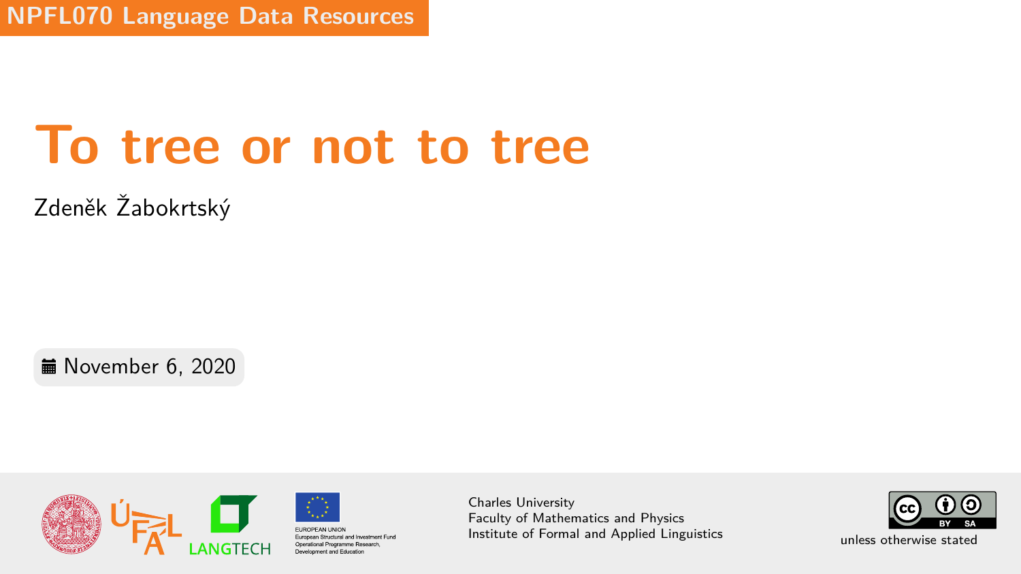# **To tree or not to tree**

Zdeněk Žabokrtský

**■ November 6, 2020** 



Charles University Faculty of Mathematics and Physics Institute of Formal and Applied Linguistics unless otherwise stated

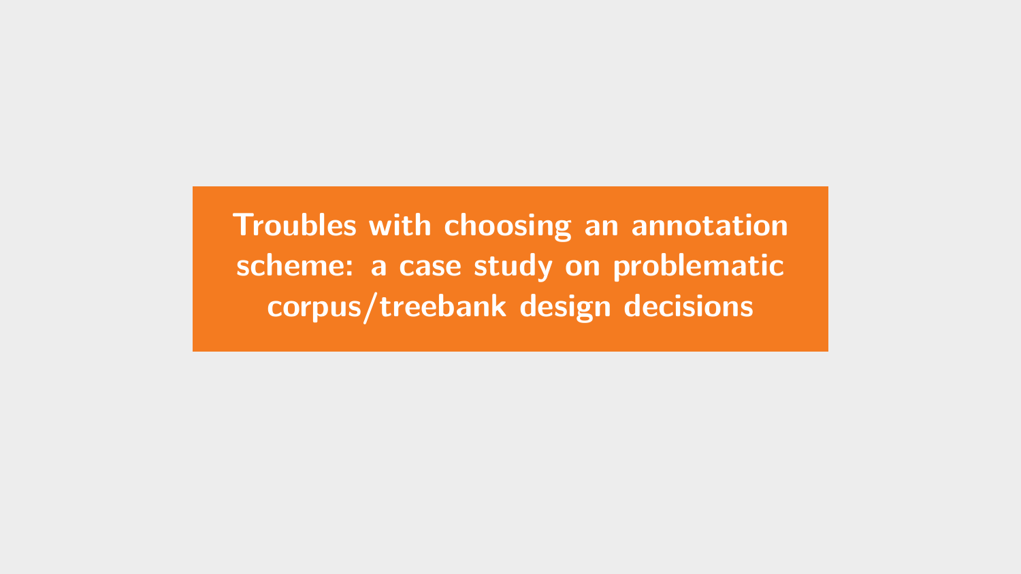<span id="page-1-0"></span>**[Troubles with choosing an annotation](#page-1-0) [scheme: a case study on problematic](#page-1-0) [corpus/treebank design decisions](#page-1-0)**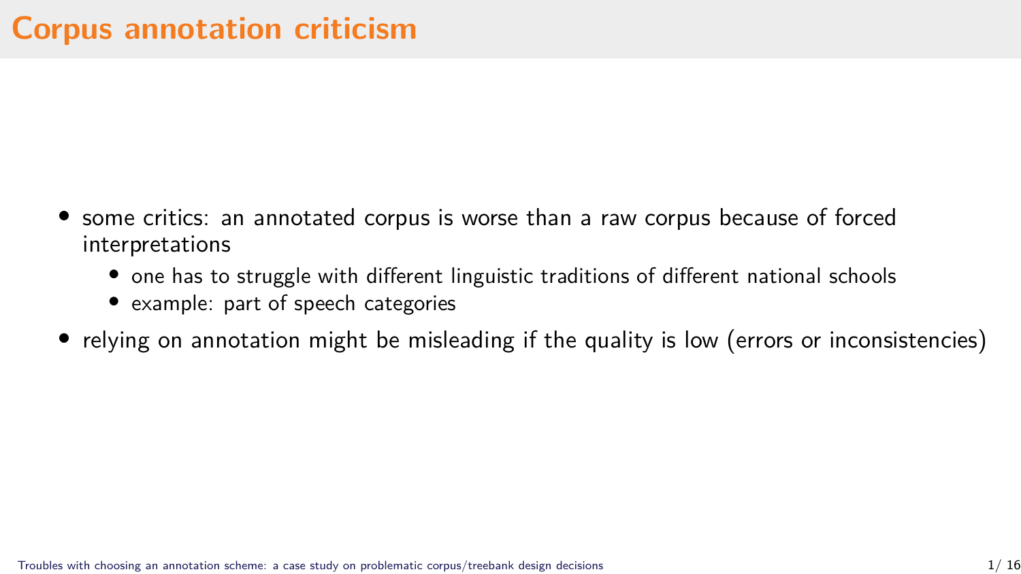- some critics: an annotated corpus is worse than a raw corpus because of forced interpretations
	- one has to struggle with different linguistic traditions of different national schools
	- example: part of speech categories
- relying on annotation might be misleading if the quality is low (errors or inconsistencies)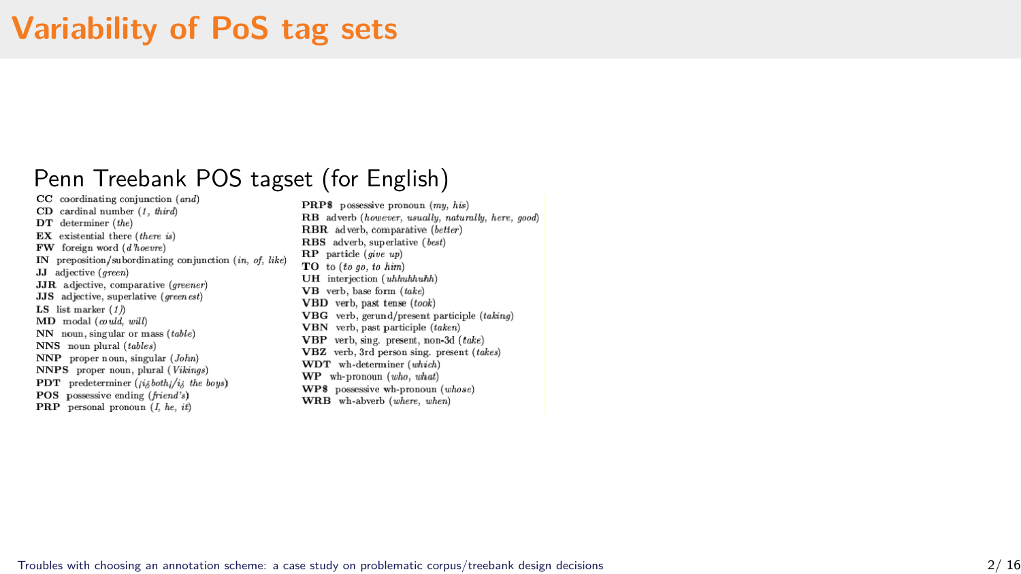#### **Variability of PoS tag sets**

## Penn Treebank POS tagset (for English)

 $CD$  cardinal number  $(1 - \theta)$ DT determiner (the)  $EX$  existential there (there is)  $FW$  foreign word  $(d \overline{h}oenv)$ IN preposition/subordinating conjunction (in of like) II adjective (ensen) **JJR** adjective, comparative (apsence) **JJS** adjective superlative (*green est*) LS list marker  $(1)$  $MD \text{ modal} (could, will)$  $NN$  noun, singular or mass  $(table)$ NNS noun plural (tables)  $NNP$  proper noun, singular  $(John)$ NNPS proper noun, plural (Vikings) **PDT** predeterminer (*jisbothi/is the bous*) POS possessive ending (friend's)

**PRP** personal pronoun  $(I, he, it)$ 

**PRP\$** possessive propoun  $(mu, his)$ BB adverb (however, usually, naturally, here, good) **BBB** adverb comparative (hetter) RBS adverb. superlative (best)  $\bf{RP}$  particle (give up)  $TO$  to  $(t_{0.00}$  to him) **TIH** interjection (uhbuhhuhh)  $VB$  verb, base form  $(take)$ VBD verb. past tense (took) VBG verb gerund/present participle (taking) VBN verb, past participle (taken) VBP verb sing, present, non-3d (take) VBZ verb. 3rd person sing, present (takes) WDT wh-determiner (which) WP wh-pronoun (who, what) WPS possessive wh-pronoun (whose) WRB wh-abverb (where, when)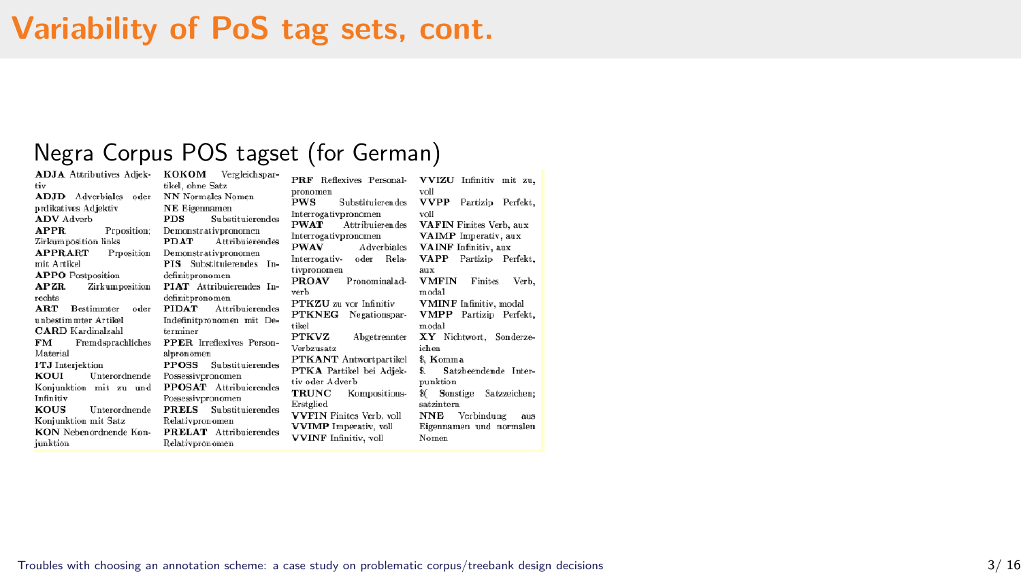#### **Variability of PoS tag sets, cont.**

## Negra Corpus POS tagset (for German)<br>ADJA Attributives Adjek- KOKOM Vergleichspar- PRF Reflexives Personal- VVIZ<br>tiv

| PRF Reflexives Personal-        |
|---------------------------------|
|                                 |
| Substituieren des               |
| Interrogativpronomen            |
| Attribuierendes                 |
| Interrogativpronomen            |
| PWAV Adverbiales                |
| Interrogativ- oder<br>Rela-     |
| tivpronomen                     |
| Pronominalad-                   |
|                                 |
| PTKZU zu vor Infinitiv          |
| PTKNEG Negationspar-            |
|                                 |
| <b>PTKVZ</b><br>Abgetrennter    |
|                                 |
| <b>PTKANT</b> Antwortpartikel   |
| PTKA Partikel bei Adjek-        |
| tiv oder Adverb                 |
| <b>TRUNC</b> Kompositions-      |
|                                 |
| <b>VVFIN</b> Finites Verb. voll |
| <b>VVIMP</b> Imperativ, voll    |
| <b>VVINF</b> Infinitiv, voll    |
|                                 |

| Reflexives Personal-      | VVIZU Infinitiv mit zu        |
|---------------------------|-------------------------------|
| en                        | voll                          |
| Substituierendes          | <b>VVPP</b> Partizip Perfekt  |
| ativpronomen              | voll                          |
| Attribuieren des          | VAFIN Finites Verb, aux       |
| <i>sativpronomen</i>      | VAIMP Imperativ, aux          |
| Adverbiales               | <b>VAINF</b> Infinitiv, aux   |
| ativ- oder Rela-          | VAPP Partizip Perfekt         |
| omen                      | aux                           |
| V Pronominalad-           | VMFIN Finites Verb            |
|                           | modal                         |
| U zu vor Infinitiv        | <b>VMINF</b> Infinitiv, modal |
| EG Negationspar-          | <b>VMPP</b> Partizip Perfekt  |
|                           | modal                         |
| Z Abgetrennter            | XY Nichtwort, Sonderze        |
| atz                       | ichen                         |
| <b>NT</b> Antwortpartikel | 8. Komma                      |
| Partikel bei Adjek-       | \$. Satzbeendende Inter-      |
| : A dverb                 | punktion                      |
| C Kompositions-           | 8( Sonstige Satzzeichen       |
| d                         | satzintern                    |
| V Finites Verb, voll      | NNE Verbindung aus            |
| P Imperativ, voll         | Eigennamen und normaler       |
| F Infinitiv, voll         | Nomen                         |
|                           |                               |

[Troubles with choosing an annotation scheme: a case study on problematic corpus/treebank design decisions](#page-1-0) 3/ 16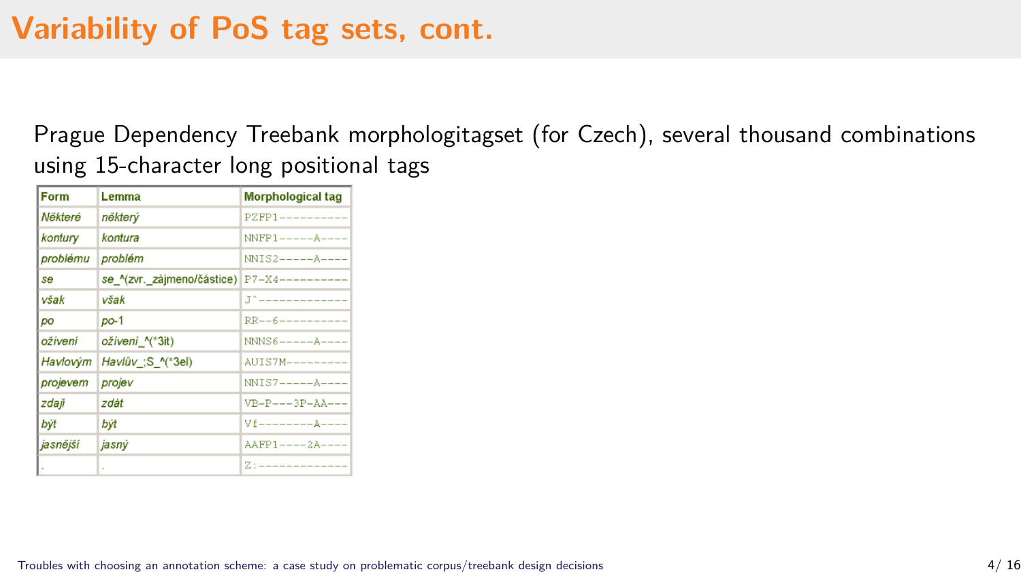#### **Variability of PoS tag sets, cont.**

Prague Dependency Treebank morphologitagset (for Czech), several thousand combinations using 15-character long positional tags

| Form     | Lemma                      | <b>Morphological tag</b>          |
|----------|----------------------------|-----------------------------------|
| Některé  | některý                    | $PZFP1$ ---------                 |
| kontury  | kontura                    | $NNFP1---A---$                    |
| problému | problém                    | $NNIS2---A---$                    |
| se       | se ^(zvr. zájmeno/částice) |                                   |
| však     | však                       | .T^-------------                  |
| po       | $po-1$                     | $RR--6---------$                  |
| oživení  | oživení_^(*3it)            | $NNNS6---A---$                    |
| Havlovým | Havlův ;S ^(*3el)          | $ALITS7M------$                   |
| projevem | projev                     | $NNIS7---A---$                    |
| zdaji    | zdát                       | $VB-P---3P-AA---$                 |
| být      | být                        | $Vf$ -------- $A$ ----            |
| jasnējší | jasný                      | $A$ $A$ $FP$ $1$ $-- 2$ $A$ $---$ |
|          |                            | 7.                                |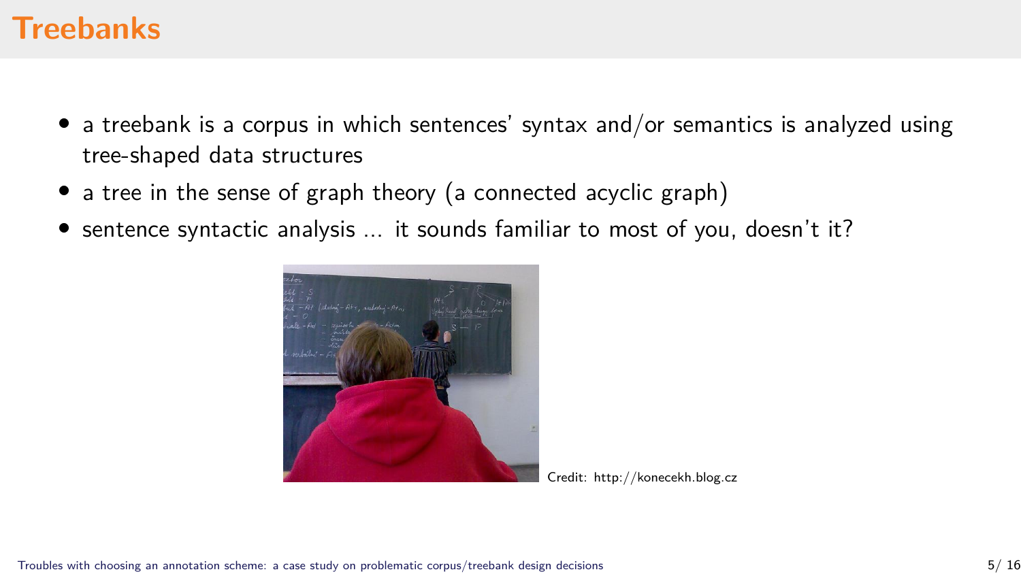#### **Treebanks**

- $\bullet$  a treebank is a corpus in which sentences' syntax and/or semantics is analyzed using tree-shaped data structures
- a tree in the sense of graph theory (a connected acyclic graph)
- sentence syntactic analysis ... it sounds familiar to most of you, doesn't it?



Credit: http://konecekh.blog.cz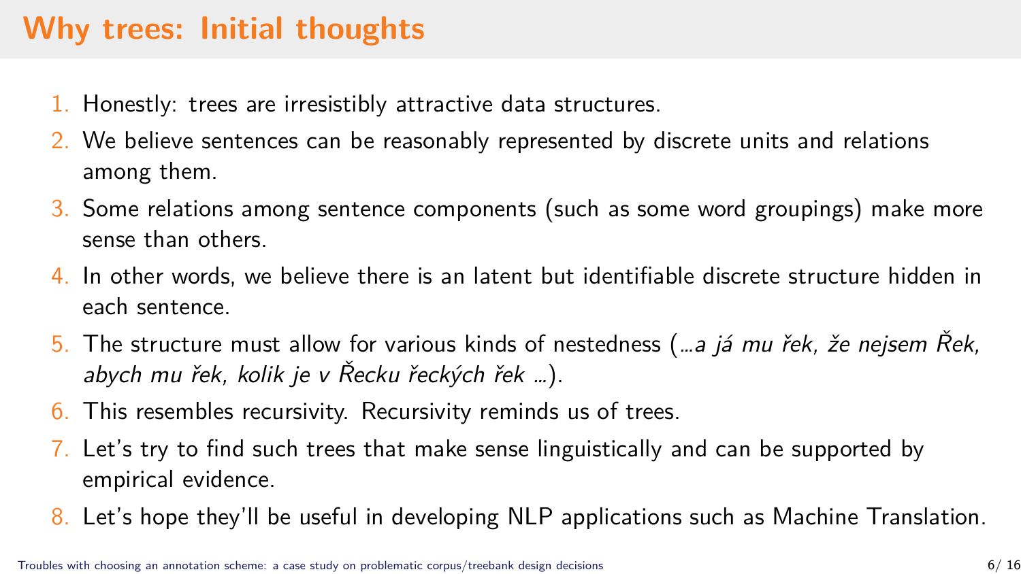## **Why trees: Initial thoughts**

- 1. Honestly: trees are irresistibly attractive data structures.
- 2. We believe sentences can be reasonably represented by discrete units and relations among them.
- 3. Some relations among sentence components (such as some word groupings) make more sense than others.
- 4. In other words, we believe there is an latent but identifiable discrete structure hidden in each sentence.
- 5. The structure must allow for various kinds of nestedness (*…a já mu řek, že nejsem Řek, abych mu řek, kolik je v Řecku řeckých řek …*).
- 6. This resembles recursivity. Recursivity reminds us of trees.
- 7. Let's try to find such trees that make sense linguistically and can be supported by empirical evidence.
- 8. Let's hope they'll be useful in developing NLP applications such as Machine Translation.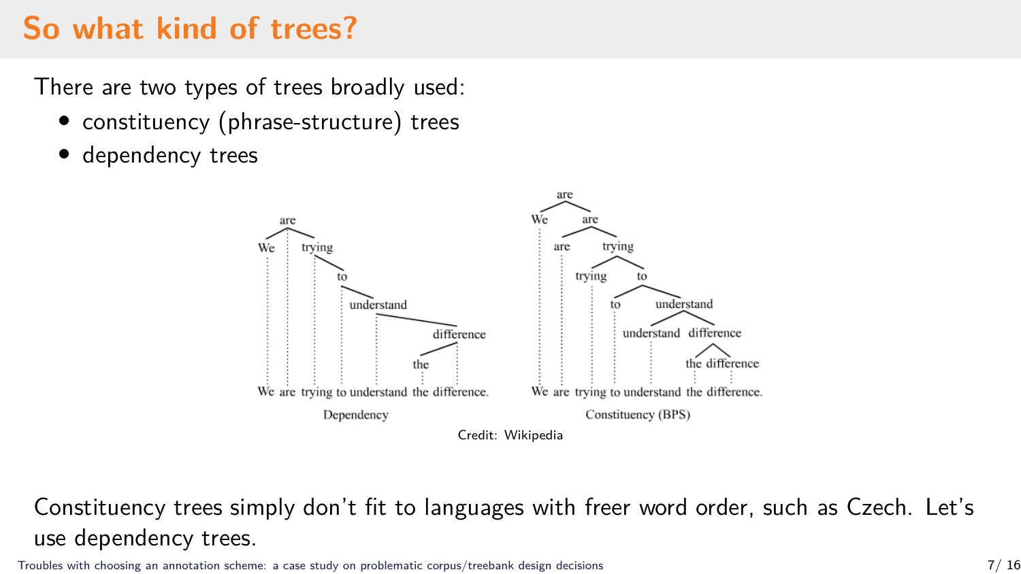## **So what kind of trees?**

There are two types of trees broadly used:

- constituency (phrase-structure) trees
- dependency trees



Constituency trees simply don't fit to languages with freer word order, such as Czech. Let's use dependency trees.

[Troubles with choosing an annotation scheme: a case study on problematic corpus/treebank design decisions](#page-1-0) 7/ 16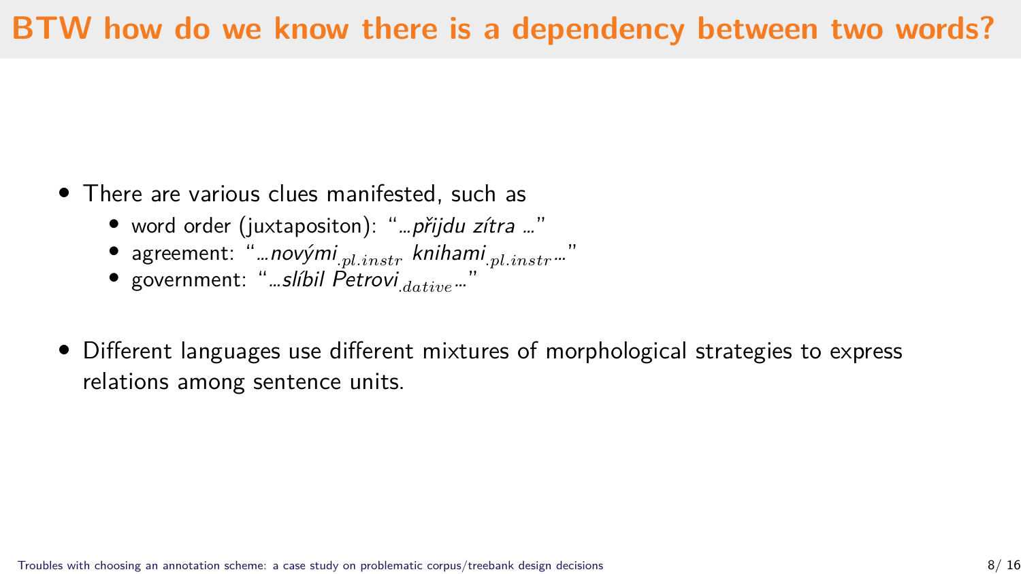## **BTW how do we know there is a dependency between two words?**

- There are various clues manifested, such as
	- word order (juxtapositon): "*…přijdu zítra …*"
	- agreement: "*…novými<sub>.pl.instr</sub> knihami<sub>.pl.instr</sub>…*"
	- government: "*…slíbil Petrovi*.*…*"
- Different languages use different mixtures of morphological strategies to express relations among sentence units.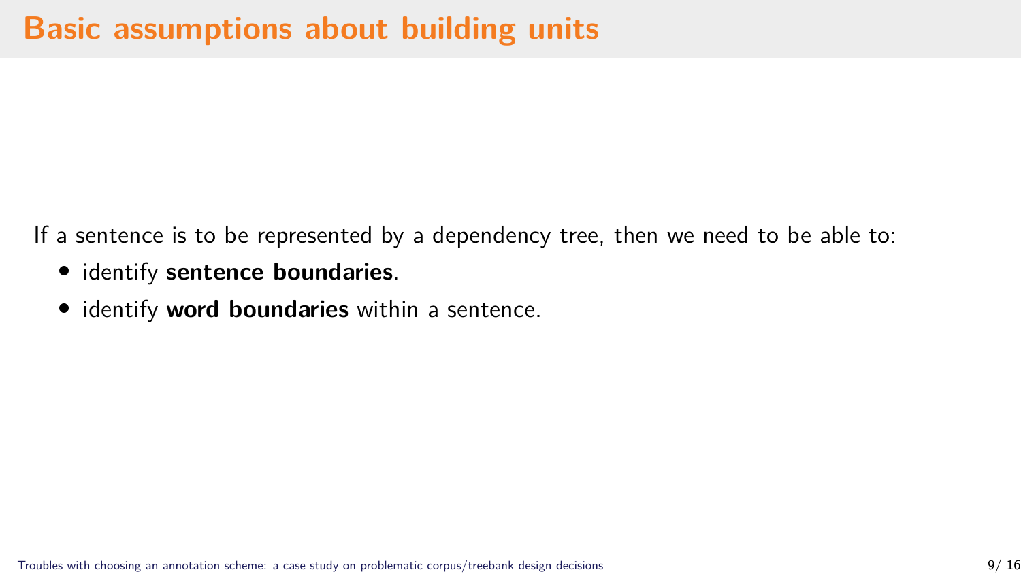If a sentence is to be represented by a dependency tree, then we need to be able to:

- identify **sentence boundaries**.
- identify **word boundaries** within a sentence.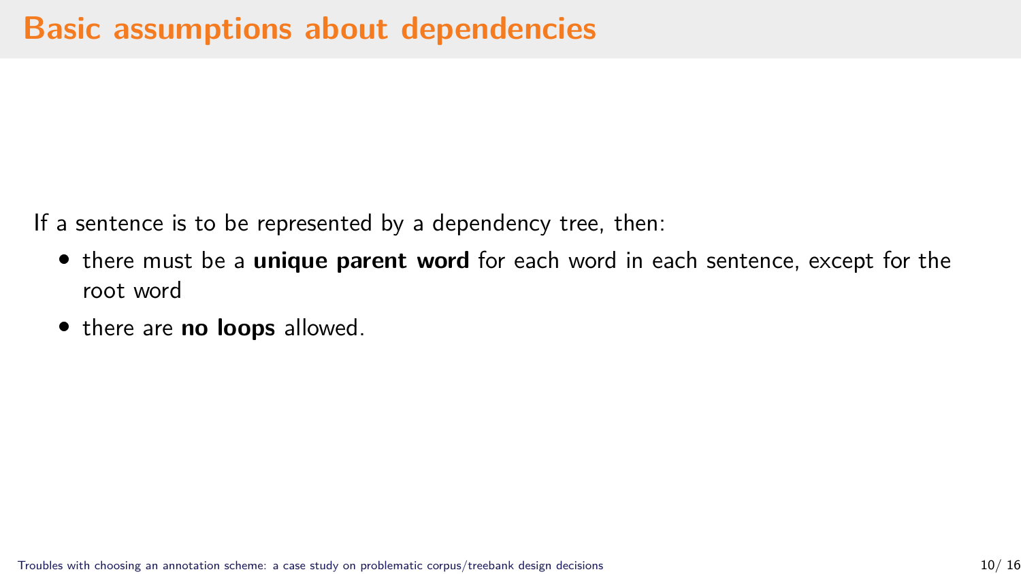If a sentence is to be represented by a dependency tree, then:

- there must be a **unique parent word** for each word in each sentence, except for the root word
- there are **no loops** allowed.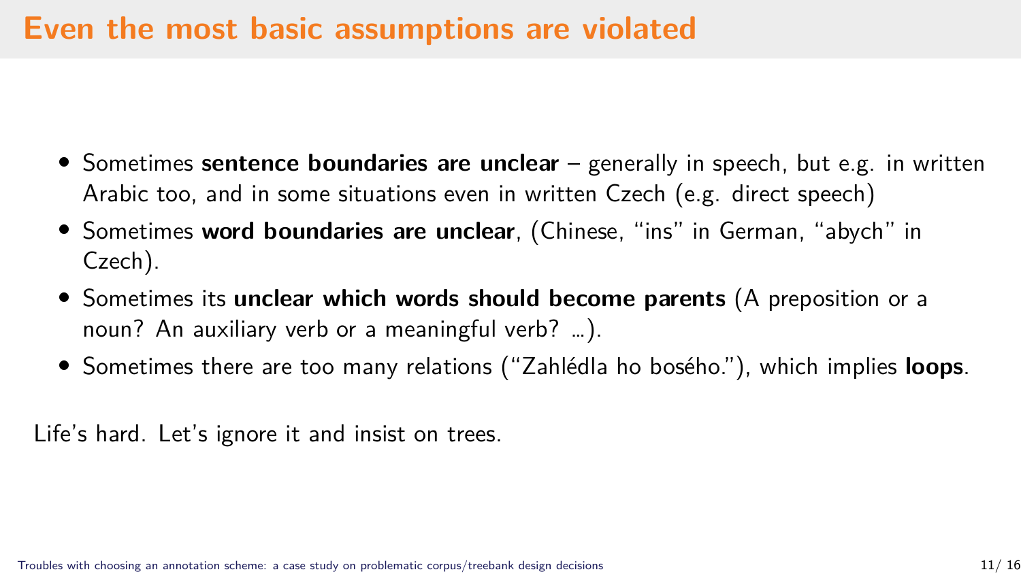#### **Even the most basic assumptions are violated**

- Sometimes **sentence boundaries are unclear** generally in speech, but e.g. in written Arabic too, and in some situations even in written Czech (e.g. direct speech)
- Sometimes **word boundaries are unclear**, (Chinese, "ins" in German, "abych" in Czech).
- Sometimes its **unclear which words should become parents** (A preposition or a noun? An auxiliary verb or a meaningful verb? …).
- Sometimes there are too many relations ("Zahlédla ho bosého."), which implies **loops**.

Life's hard. Let's ignore it and insist on trees.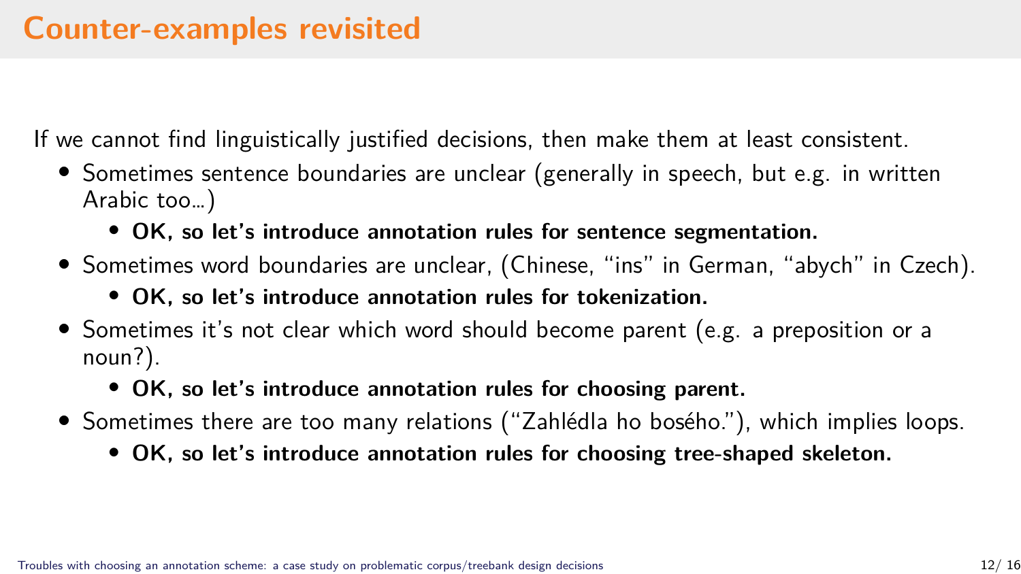#### **Counter-examples revisited**

If we cannot find linguistically justified decisions, then make them at least consistent.

- Sometimes sentence boundaries are unclear (generally in speech, but e.g. in written Arabic too…)
	- **OK, so let's introduce annotation rules for sentence segmentation.**
- Sometimes word boundaries are unclear, (Chinese, "ins" in German, "abych" in Czech).
	- **OK, so let's introduce annotation rules for tokenization.**
- Sometimes it's not clear which word should become parent (e.g. a preposition or a noun?).
	- **OK, so let's introduce annotation rules for choosing parent.**
- Sometimes there are too many relations ("Zahlédla ho bosého."), which implies loops.
	- **OK, so let's introduce annotation rules for choosing tree-shaped skeleton.**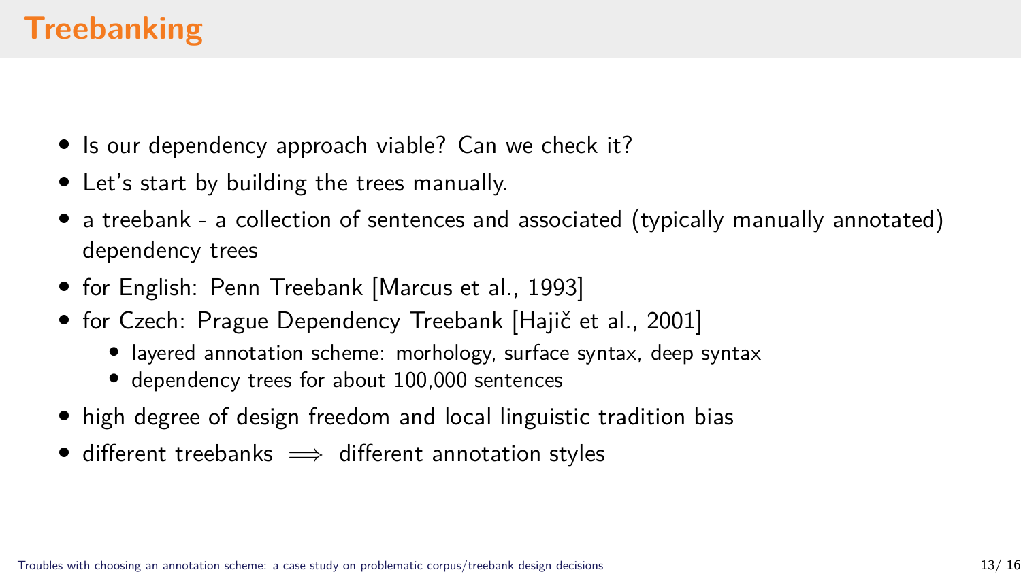## **Treebanking**

- Is our dependency approach viable? Can we check it?
- Let's start by building the trees manually.
- a treebank a collection of sentences and associated (typically manually annotated) dependency trees
- for English: Penn Treebank [Marcus et al., 1993]
- for Czech: Prague Dependency Treebank [Hajič et al., 2001]
	- layered annotation scheme: morhology, surface syntax, deep syntax
	- dependency trees for about 100,000 sentences
- high degree of design freedom and local linguistic tradition bias
- different treebanks  $\implies$  different annotation styles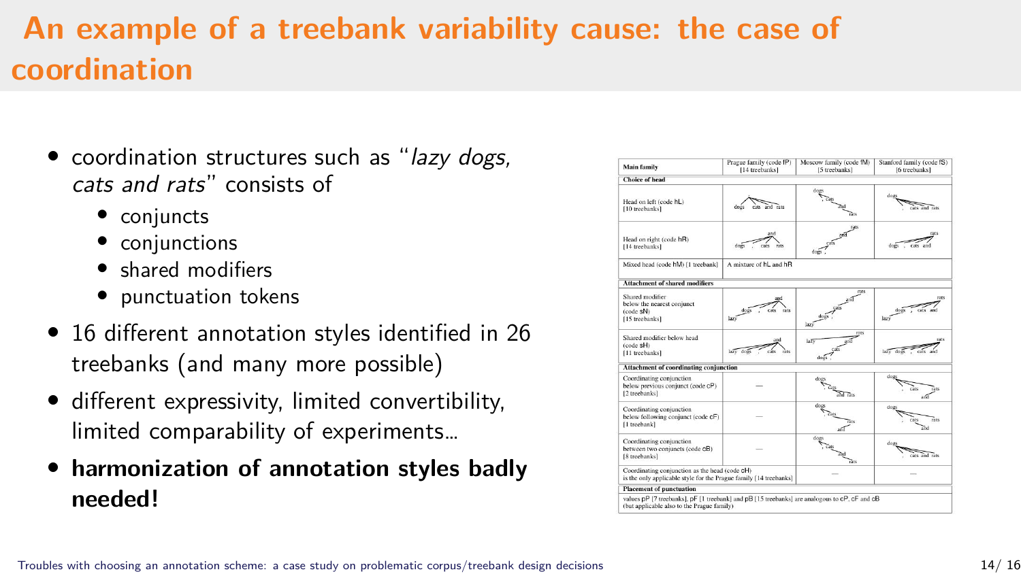## **An example of a treebank variability cause: the case of coordination**

- coordination structures such as "*lazy dogs, cats and rats*" consists of
	- conjuncts
	- conjunctions
	- shared modifiers
	- punctuation tokens
- 16 different annotation styles identified in 26 treebanks (and many more possible)
- different expressivity, limited convertibility, limited comparability of experiments…
- **harmonization of annotation styles badly needed!**

| <b>Main family</b>                                                                                                                          | Prague family (code fP)<br>114 treebanks] | Moscow family (code fM)<br>15 treebanks] | Stanford family (code IS)<br>16 treebanks] |
|---------------------------------------------------------------------------------------------------------------------------------------------|-------------------------------------------|------------------------------------------|--------------------------------------------|
| Choice of bead                                                                                                                              |                                           |                                          |                                            |
| Head on left (code hL)<br>[10 treebanks]                                                                                                    | cars, and rars<br>coss.                   | dog                                      | doz<br>cars and rare                       |
| Head on right (code hR)<br>[14 treebanks]                                                                                                   | does<br>ries                              | 465                                      | rats<br>down                               |
| Mixed head (code hM) [1 treebank]                                                                                                           | A mixture of hL and hR                    |                                          |                                            |
| Attachment of shared modifiers                                                                                                              |                                           |                                          |                                            |
| Shared modifier<br>below the nearest conjunct<br>(code sN)<br>[15 treebanks]                                                                | cats                                      | rats<br>larê                             | mrs                                        |
| Shared modifier below head<br>(code sH)<br>111 treebanks]                                                                                   | and<br>lary dog                           | rans<br>leZ1<br>dogs                     | <b>CADS</b><br>Lery does                   |
| Attachment of coordinating conjunction                                                                                                      |                                           |                                          |                                            |
| Coordinating conjunction<br>below previous conjunct (code cP)<br>[2 treebanks]                                                              |                                           | dog<br>of Res                            | dres.<br>āн                                |
| Coordinating conjunction<br>below following conjunct (code cF)<br>[1 trechank]                                                              |                                           |                                          | dry.<br>reto                               |
| Coordinating conjunction<br>between two conjuncts (code cB)<br>18 treebanks)                                                                |                                           | dop                                      | door<br>cats and rats                      |
| Coordinating conjunction as the head (code cH)<br>is the only applicable style for the Prague family [14 treebanks]                         |                                           |                                          |                                            |
| Placement of punctuation                                                                                                                    |                                           |                                          |                                            |
| values DP 17 treebanks1, DF 11 treebank1 and DB 115 treebanks1 are analogous to cP, cF and cB<br>(but applicable also to the Prague family) |                                           |                                          |                                            |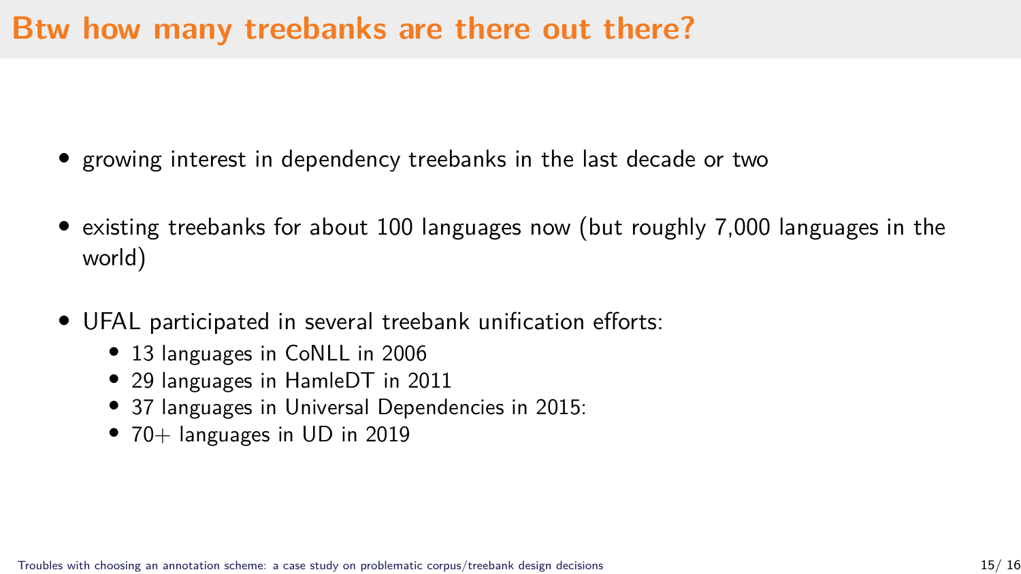#### **Btw how many treebanks are there out there?**

- growing interest in dependency treebanks in the last decade or two
- existing treebanks for about 100 languages now (but roughly 7,000 languages in the world)
- UFAL participated in several treebank unification efforts:
	- 13 languages in CoNLL in 2006
	- 29 languages in HamleDT in 2011
	- 37 languages in Universal Dependencies in 2015:
	- 70+ languages in UD in 2019